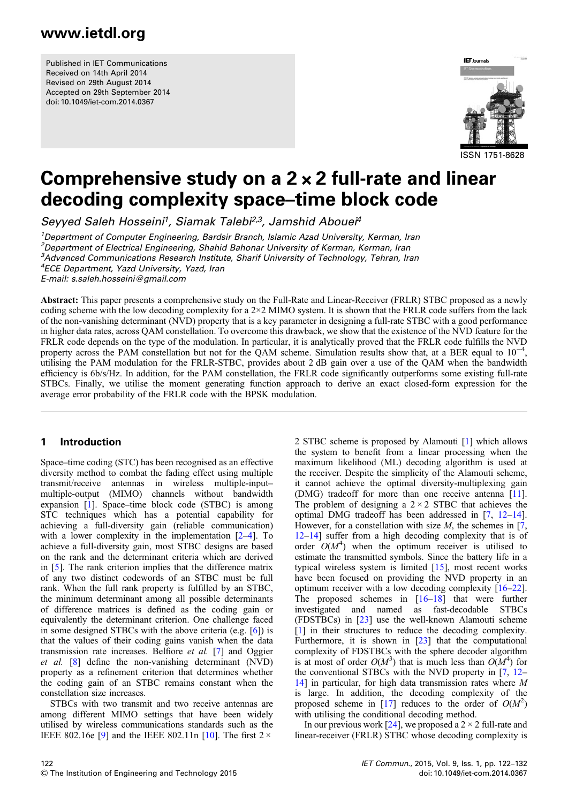Published in IET Communications Received on 14th April 2014 Revised on 29th August 2014 Accepted on 29th September 2014 doi: 10.1049/iet-com.2014.0367



# Comprehensive study on a 2 × 2 full-rate and linear decoding complexity space–time block code

Seyyed Saleh Hosseini<sup>1</sup>, Siamak Talebi<sup>2,3</sup>, Jamshid Abouei<sup>4</sup>

<sup>1</sup>Department of Computer Engineering, Bardsir Branch, Islamic Azad University, Kerman, Iran <sup>2</sup> Department of Electrical Engineering, Shahid Bahonar University of Kerman, Kerman, Iran <sup>3</sup>Advanced Communications Research Institute, Sharif University of Technology, Tehran, Iran

4 ECE Department, Yazd University, Yazd, Iran

E-mail: s.saleh.hosseini@gmail.com

Abstract: This paper presents a comprehensive study on the Full-Rate and Linear-Receiver (FRLR) STBC proposed as a newly coding scheme with the low decoding complexity for a  $2\times2$  MIMO system. It is shown that the FRLR code suffers from the lack of the non-vanishing determinant (NVD) property that is a key parameter in designing a full-rate STBC with a good performance in higher data rates, across QAM constellation. To overcome this drawback, we show that the existence of the NVD feature for the FRLR code depends on the type of the modulation. In particular, it is analytically proved that the FRLR code fulfills the NVD property across the PAM constellation but not for the QAM scheme. Simulation results show that, at a BER equal to  $10^{-4}$ , utilising the PAM modulation for the FRLR-STBC, provides about 2 dB gain over a use of the QAM when the bandwidth efficiency is 6b/s/Hz. In addition, for the PAM constellation, the FRLR code significantly outperforms some existing full-rate STBCs. Finally, we utilise the moment generating function approach to derive an exact closed-form expression for the average error probability of the FRLR code with the BPSK modulation.

#### 1 Introduction

Space–time coding (STC) has been recognised as an effective diversity method to combat the fading effect using multiple transmit/receive antennas in wireless multiple-input– multiple-output (MIMO) channels without bandwidth expansion [1]. Space–time block code (STBC) is among STC techniques which has a potential capability for achieving a full-diversity gain (reliable communication) with a lower complexity in the implementation [2–4]. To achieve a full-diversity gain, most STBC designs are based on the rank and the determinant criteria which are derived in [5]. The rank criterion implies that the difference matrix of any two distinct codewords of an STBC must be full rank. When the full rank property is fulfilled by an STBC, the minimum determinant among all possible determinants of difference matrices is defined as the coding gain or equivalently the determinant criterion. One challenge faced in some designed STBCs with the above criteria (e.g. [6]) is that the values of their coding gains vanish when the data transmission rate increases. Belfiore et al. [7] and Oggier et al. [8] define the non-vanishing determinant (NVD) property as a refinement criterion that determines whether the coding gain of an STBC remains constant when the constellation size increases.

STBCs with two transmit and two receive antennas are among different MIMO settings that have been widely utilised by wireless communications standards such as the IEEE 802.16e [9] and the IEEE 802.11n [10]. The first  $2 \times$ 

2 STBC scheme is proposed by Alamouti [1] which allows the system to benefit from a linear processing when the maximum likelihood (ML) decoding algorithm is used at the receiver. Despite the simplicity of the Alamouti scheme, it cannot achieve the optimal diversity-multiplexing gain (DMG) tradeoff for more than one receive antenna [11]. The problem of designing a  $2 \times 2$  STBC that achieves the optimal DMG tradeoff has been addressed in [7, 12–14]. However, for a constellation with size  $M$ , the schemes in [7, 12–14] suffer from a high decoding complexity that is of order  $O(M^4)$  when the optimum receiver is utilised to estimate the transmitted symbols. Since the battery life in a typical wireless system is limited [15], most recent works have been focused on providing the NVD property in an optimum receiver with a low decoding complexity [16–22]. The proposed schemes in [16–18] that were further investigated and named as fast-decodable STBCs (FDSTBCs) in [23] use the well-known Alamouti scheme [1] in their structures to reduce the decoding complexity. Furthermore, it is shown in  $[23]$  that the computational complexity of FDSTBCs with the sphere decoder algorithm is at most of order  $O(M^3)$  that is much less than  $O(M^4)$  for the conventional STBCs with the NVD property in [7, 12– 14] in particular, for high data transmission rates where M is large. In addition, the decoding complexity of the proposed scheme in [17] reduces to the order of  $O(M^2)$ with utilising the conditional decoding method.

In our previous work [24], we proposed a  $2 \times 2$  full-rate and linear-receiver (FRLR) STBC whose decoding complexity is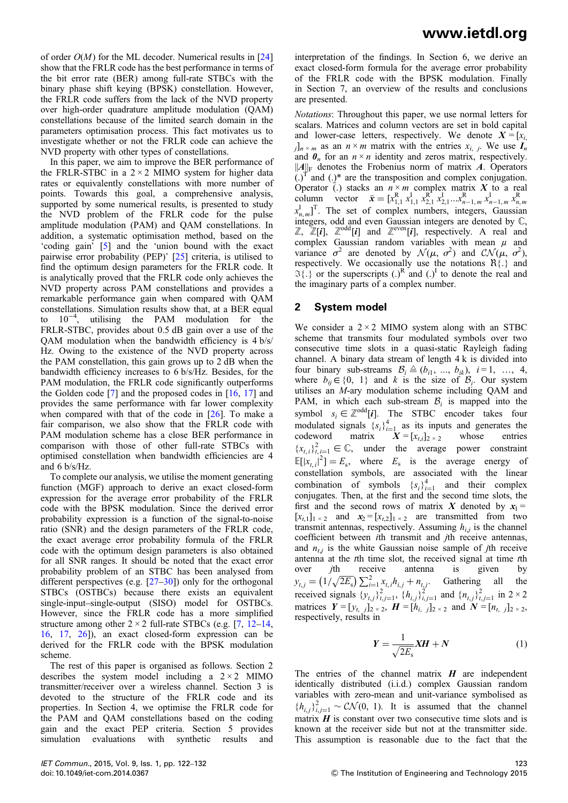of order  $O(M)$  for the ML decoder. Numerical results in [24] show that the FRLR code has the best performance in terms of the bit error rate (BER) among full-rate STBCs with the binary phase shift keying (BPSK) constellation. However, the FRLR code suffers from the lack of the NVD property over high-order quadrature amplitude modulation (QAM) constellations because of the limited search domain in the parameters optimisation process. This fact motivates us to investigate whether or not the FRLR code can achieve the NVD property with other types of constellations.

In this paper, we aim to improve the BER performance of the FRLR-STBC in a  $2 \times 2$  MIMO system for higher data rates or equivalently constellations with more number of points. Towards this goal, a comprehensive analysis, supported by some numerical results, is presented to study the NVD problem of the FRLR code for the pulse amplitude modulation (PAM) and QAM constellations. In addition, a systematic optimisation method, based on the 'coding gain' [5] and the 'union bound with the exact pairwise error probability (PEP)' [25] criteria, is utilised to find the optimum design parameters for the FRLR code. It is analytically proved that the FRLR code only achieves the NVD property across PAM constellations and provides a remarkable performance gain when compared with QAM constellations. Simulation results show that, at a BER equal to 10−<sup>4</sup> , utilising the PAM modulation for the FRLR-STBC, provides about 0.5 dB gain over a use of the QAM modulation when the bandwidth efficiency is 4 b/s/ Hz. Owing to the existence of the NVD property across the PAM constellation, this gain grows up to 2 dB when the bandwidth efficiency increases to 6 b/s/Hz. Besides, for the PAM modulation, the FRLR code significantly outperforms the Golden code [7] and the proposed codes in [16, 17] and provides the same performance with far lower complexity when compared with that of the code in [26]. To make a fair comparison, we also show that the FRLR code with PAM modulation scheme has a close BER performance in comparison with those of other full-rate STBCs with optimised constellation when bandwidth efficiencies are 4 and 6 b/s/Hz.

To complete our analysis, we utilise the moment generating function (MGF) approach to derive an exact closed-form expression for the average error probability of the FRLR code with the BPSK modulation. Since the derived error probability expression is a function of the signal-to-noise ratio (SNR) and the design parameters of the FRLR code, the exact average error probability formula of the FRLR code with the optimum design parameters is also obtained for all SNR ranges. It should be noted that the exact error probability problem of an STBC has been analysed from different perspectives (e.g.  $[27-30]$ ) only for the orthogonal STBCs (OSTBCs) because there exists an equivalent single-input–single-output (SISO) model for OSTBCs. However, since the FRLR code has a more simplified structure among other  $2 \times 2$  full-rate STBCs (e.g. [7, 12–14, 16, 17, 26]), an exact closed-form expression can be derived for the FRLR code with the BPSK modulation scheme.

The rest of this paper is organised as follows. Section 2 describes the system model including a  $2 \times 2$  MIMO transmitter/receiver over a wireless channel. Section 3 is devoted to the structure of the FRLR code and its properties. In Section 4, we optimise the FRLR code for the PAM and QAM constellations based on the coding gain and the exact PEP criteria. Section 5 provides simulation evaluations with synthetic results and

interpretation of the findings. In Section 6, we derive an exact closed-form formula for the average error probability of the FRLR code with the BPSK modulation. Finally in Section 7, an overview of the results and conclusions are presented.

Notations: Throughout this paper, we use normal letters for scalars. Matrices and column vectors are set in bold capital and lower-case letters, respectively. We denote  $X = [x_i]$  $j_n \times m$  as an  $n \times m$  matrix with the entries  $x_{i, j}$ . We use  $I_n$ and  $\theta_n$  for an  $n \times n$  identity and zeros matrix, respectively.  $||A||_F$  denotes the Frobenius norm of matrix A. Operators  $(.)^T$  and  $(.)^*$  are the transposition and complex conjugation. Operator (.) stacks an  $n \times m$  complex matrix  $X$  to a real column vector  $\bar{x} = [x_{1,1}^{R} x_{1,1}^{I} x_{2,1}^{R} x_{2,1}^{I} ... x_{n-1,m}^{R} x_{n-1,m}^{I} x_{n,m}^{R}$  $x_{n,m}^{\mathrm{I}}$ ]<sup>T</sup>. The set of complex numbers, integers, Gaussian integers, odd and even Gaussian integers are denoted by C,  $\mathbb{Z}, \ \mathbb{Z}[i], \ \mathbb{Z}^{\text{odd}}[i]$  and  $\mathbb{Z}^{\text{even}}[i]$ , respectively. A real and complex Gaussian random variables with mean  $\mu$  and variance  $\sigma^2$  are denoted by  $\mathcal{N}(\mu, \sigma^2)$  and  $\mathcal{CN}(\mu, \sigma^2)$ , respectively. We occasionally use the notations  $\mathcal{R}\{\cdot\}$  and  $\mathfrak{F}\{\cdot\}$  or the superscripts  $(.)^R$  and  $(.)^I$  to denote the real and the imaginary parts of a complex number.

#### 2 System model

We consider a  $2 \times 2$  MIMO system along with an STBC scheme that transmits four modulated symbols over two consecutive time slots in a quasi-static Rayleigh fading channel. A binary data stream of length 4 k is divided into four binary sub-streams  $\mathcal{B}_i \triangleq (b_{i1}, ..., b_{ik}), i = 1, ..., 4,$ where  $b_{ij} \in \{0, 1\}$  and k is the size of  $\mathcal{B}_i$ . Our system utilises an M-ary modulation scheme including QAM and PAM, in which each sub-stream  $B_i$  is mapped into the symbol  $s_i \in \mathbb{Z}^{\text{odd}}[i]$ . The STBC encoder takes four modulated signals  ${s_i}_{i=1}^4$  as its inputs and generates the codeword matrix  $X = [x_{t,i}]_{2 \times 2}$  whose entries  ${x_{t,i}}_{i,j=1}^2 \in \mathbb{C}$ , under the average power constraint  $\mathbb{E}[|x_{t,i}|^2] = E_s$ , where  $E_s$  is the average energy of constellation symbols, are associated with the linear combination of symbols  ${s_i}_{i=1}^4$  and their complex conjugates. Then, at the first and the second time slots, the first and the second rows of matrix X denoted by  $x_1 =$  $[x_{t,1}]_{1 \times 2}$  and  $x_2 = [x_{t,2}]_{1 \times 2}$  are transmitted from two transmit antennas, respectively. Assuming  $h_{i,j}$  is the channel coefficient between ith transmit and jth receive antennas, and  $n_{t}$  is the white Gaussian noise sample of *j*th receive antenna at the tth time slot, the received signal at time tth over *j*th receive antenna is given by  $y_{t,j} = (1/\sqrt{2E_s}) \sum_{i=1}^{2} x_{t,i} h_{i,j} + n_{t,j}.$  Gathering all the received signals  $\{y_{t,j}\}_{t,j=1}^2$ ,  $\{h_{i,j}\}_{i,j=1}^2$  and  $\{n_{t,j}\}_{t,j=1}^2$  in  $2 \times 2$ matrices  $Y = [y_{t, j}]_{2 \times 2}$ ,  $H = [h_{i, j}]_{2 \times 2}$  and  $N = [n_{t, j}]_{2 \times 2}$ , respectively, results in

$$
Y = \frac{1}{\sqrt{2E_s}} XH + N \tag{1}
$$

The entries of the channel matrix  $H$  are independent identically distributed (i.i.d.) complex Gaussian random variables with zero-mean and unit-variance symbolised as  ${h_{i,j}}_{i,j=1}^2 \sim \mathcal{CN}(0, 1)$ . It is assumed that the channel matrix  $H$  is constant over two consecutive time slots and is known at the receiver side but not at the transmitter side. This assumption is reasonable due to the fact that the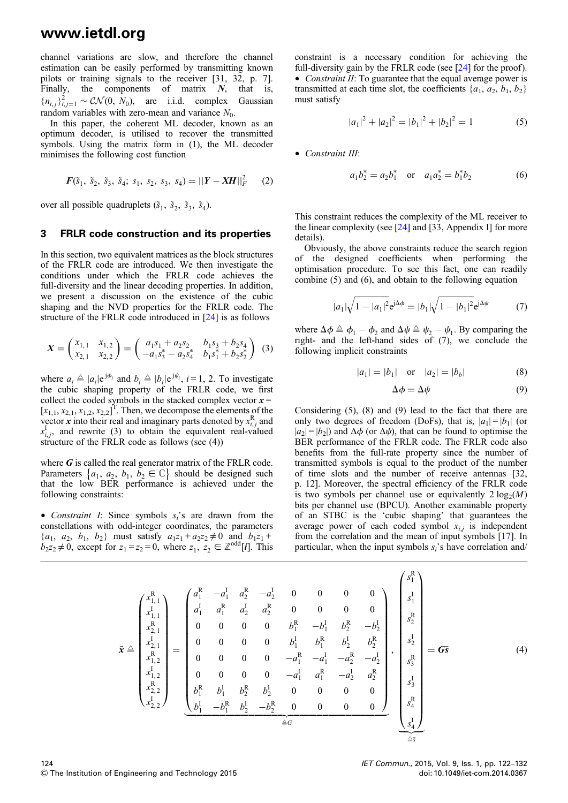channel variations are slow, and therefore the channel estimation can be easily performed by transmitting known pilots or training signals to the receiver [31, 32, p. 7]. Finally, the components of matrix  $N$ , that is,  ${n_{t,j}}_{t,j=1}^2 \sim \mathcal{CN}(0, N_0)$ , are i.i.d. complex Gaussian random variables with zero-mean and variance  $N_0$ .

In this paper, the coherent ML decoder, known as an optimum decoder, is utilised to recover the transmitted symbols. Using the matrix form in (1), the ML decoder minimises the following cost function

$$
F(\tilde{s}_1, \ \tilde{s}_2, \ \tilde{s}_3, \ \tilde{s}_4; \ s_1, \ s_2, \ s_3, \ s_4) = ||Y - XH||_F^2 \qquad (2)
$$

over all possible quadruplets  $(\tilde{s}_1, \tilde{s}_2, \tilde{s}_3, \tilde{s}_4)$ .

#### 3 FRLR code construction and its properties

In this section, two equivalent matrices as the block structures of the FRLR code are introduced. We then investigate the conditions under which the FRLR code achieves the full-diversity and the linear decoding properties. In addition, we present a discussion on the existence of the cubic shaping and the NVD properties for the FRLR code. The structure of the FRLR code introduced in [24] is as follows

$$
X = \begin{pmatrix} x_{1,1} & x_{1,2} \\ x_{2,1} & x_{2,2} \end{pmatrix} = \begin{pmatrix} a_1s_1 + a_2s_2 & b_1s_3 + b_2s_4 \\ -a_1s_3^* - a_2s_4^* & b_1s_1^* + b_2s_2^* \end{pmatrix}
$$
 (3)

where  $a_i \triangleq |a_i|e^{j\phi_i}$  and  $b_i \triangleq |b_i|e^{j\psi_i}$ ,  $i = 1, 2$ . To investigate the cubic shaping property of the FRLR code, we first collect the coded symbols in the stacked complex vector  $x =$  $[x_{1,1}, x_{2,1}, x_{1,2}, x_{2,2}]^T$ . Then, we decompose the elements of the vector x into their real and imaginary parts denoted by  $x_{i,j}^R$  and  $x_{i,j}^{\text{I}}$ , and rewrite (3) to obtain the equivalent real-valued structure of the FRLR code as follows (see (4))

where  $G$  is called the real generator matrix of the FRLR code. Parameters  $\{a_1, a_2, b_1, b_2 \in \mathbb{C}\}\$  should be designed such that the low BER performance is achieved under the following constraints:

• Constraint I: Since symbols  $s_i$ 's are drawn from the constellations with odd-integer coordinates, the parameters  $\{a_1, a_2, b_1, b_2\}$  must satisfy  $a_1z_1 + a_2z_2 \neq 0$  and  $b_1z_1 + b_2z_2 \neq 0$  $b_2z_2 \neq 0$ , except for  $z_1 = z_2 = 0$ , where  $z_1, z_2 \in \mathbb{Z}^{\text{odd}}[i]$ . This constraint is a necessary condition for achieving the full-diversity gain by the FRLR code (see [24] for the proof). • Constraint II: To guarantee that the equal average power is transmitted at each time slot, the coefficients  $\{a_1, a_2, b_1, b_2\}$ must satisfy

$$
|a_1|^2 + |a_2|^2 = |b_1|^2 + |b_2|^2 = 1
$$
 (5)

• Constraint III:

$$
a_1 b_2^* = a_2 b_1^* \quad \text{or} \quad a_1 a_2^* = b_1^* b_2 \tag{6}
$$

This constraint reduces the complexity of the ML receiver to the linear complexity (see  $[24]$  and  $[33,$  Appendix I] for more details).

Obviously, the above constraints reduce the search region of the designed coefficients when performing the optimisation procedure. To see this fact, one can readily combine (5) and (6), and obtain to the following equation

$$
|a_1|\sqrt{1-|a_1|^2}e^{i\Delta\phi} = |b_1|\sqrt{1-|b_1|^2}e^{i\Delta\psi}
$$
 (7)

where  $\Delta \phi \triangleq \phi_1 - \phi_2$  and  $\Delta \psi \triangleq \psi_2 - \psi_1$ . By comparing the right- and the left-hand sides of (7), we conclude the following implicit constraints

$$
|a_1| = |b_1| \quad \text{or} \quad |a_2| = |b_b| \tag{8}
$$

$$
\Delta \phi = \Delta \psi \tag{9}
$$

Considering (5), (8) and (9) lead to the fact that there are only two degrees of freedom (DoFs), that is,  $|a_1|=|b_1|$  (or  $|a_2|=|b_2|$  and  $\Delta \phi$  (or  $\Delta \psi$ ), that can be found to optimise the BER performance of the FRLR code. The FRLR code also benefits from the full-rate property since the number of transmitted symbols is equal to the product of the number of time slots and the number of receive antennas [32, p. 12]. Moreover, the spectral efficiency of the FRLR code is two symbols per channel use or equivalently  $2 \log_2(M)$ bits per channel use (BPCU). Another examinable property of an STBC is the 'cubic shaping' that guarantees the average power of each coded symbol  $x_{i,j}$  is independent from the correlation and the mean of input symbols [17]. In particular, when the input symbols  $s_i$ 's have correlation and/

$$
\bar{x} \triangleq \begin{pmatrix} x_{1,1}^R \\ x_{1,1}^I \\ x_{2,1}^I \\ x_{2,1}^I \\ x_{1,2}^I \\ x_{1,2}^I \\ x_{2,2}^I \end{pmatrix} = \begin{pmatrix} a_1^R & -a_1^I & a_2^R & -a_2^I & 0 & 0 & 0 & 0 \\ a_1^I & a_1^R & a_2^I & a_2^R & 0 & 0 & 0 & 0 \\ 0 & 0 & 0 & 0 & b_1^R & -b_1^I & b_2^R & -b_2^I \\ 0 & 0 & 0 & 0 & b_1^I & b_1^R & b_2^I & b_2^R \\ 0 & 0 & 0 & 0 & -a_1^R & -a_1^I & -a_2^R & -a_2^I \\ 0 & 0 & 0 & 0 & -a_1^I & a_1^R & -a_2^I & a_2^R \\ a_2^I & a_2^I & a_2^I & a_2^I & a_2^I \\ a_2^I & a_2^I & a_2^I & a_2^I & a_2^I \\ a_2^I & a_2^I & a_2^I & a_2^I & a_2^I \\ a_2^I & a_2^I & a_2^I & a_2^I & a_2^I \\ a_2^I & a_2^I & a_2^I & a_2^I & a_2^I \\ a_2^I & a_2^I & a_2^I & a_2^I & a_2^I \\ a_2^I & a_2^I & a_2^I & a_2^I \\ a_2^I & a_2^I & a_2^I & a_2^I \end{pmatrix}, \begin{pmatrix} s_1^R \\ s_1^I \\ s_2^I \\ s_2^I \\ s_2^I \\ s_2^I \\ s_2^I \\ s_2^I \\ s_2^I \\ s_2^I \\ s_2^I \\ s_2^I \\ s_2^I \\ s_2^I \\ s_2^I \\ s_2^I \\ s_2^I \\ s_2^I \\ s_2^I \\ s_2^I \\ s_2^I \\ s_2^I \\ s_2^I \\ s_2^I \\ s_2^I \\ s_2^I \\ s_2^I \\ s_2^I \\ s_2^I \\ s_2^I \\ s_2^I \\ s_2^I \\ s_2^I \\ s_2^I \\ s_2
$$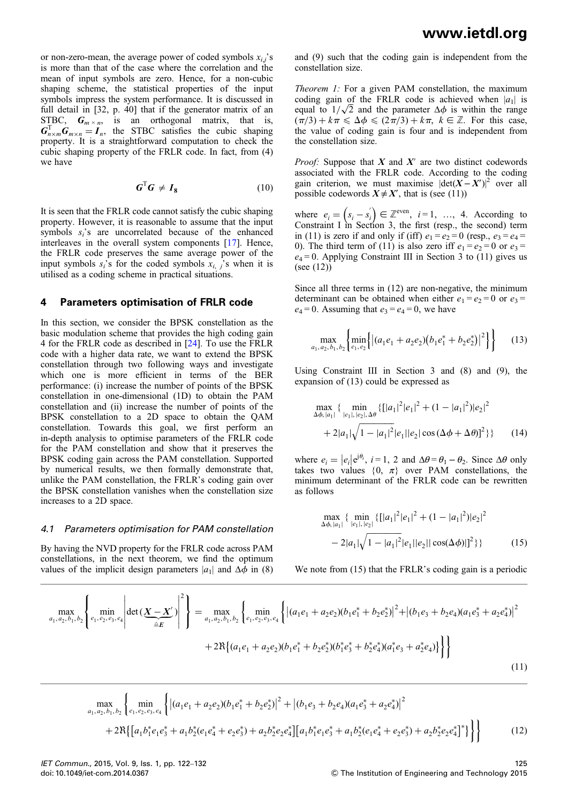or non-zero-mean, the average power of coded symbols  $x_{i,j}$ 's is more than that of the case where the correlation and the mean of input symbols are zero. Hence, for a non-cubic shaping scheme, the statistical properties of the input symbols impress the system performance. It is discussed in full detail in [32, p. 40] that if the generator matrix of an STBC,  $G_{m \times n}$ , is an orthogonal matrix, that is,  $G_{n \times m}^T G_{m \times n} = I_n$ , the STBC satisfies the cubic shaping property. It is a straightforward computation to check the cubic shaping property of the FRLR code. In fact, from (4) we have

$$
G^{\mathrm{T}}G \neq I_8 \tag{10}
$$

It is seen that the FRLR code cannot satisfy the cubic shaping property. However, it is reasonable to assume that the input symbols  $s_i$ 's are uncorrelated because of the enhanced interleaves in the overall system components [17]. Hence, the FRLR code preserves the same average power of the input symbols  $s_i$ 's for the coded symbols  $x_i$ , is when it is utilised as a coding scheme in practical situations.

#### 4 Parameters optimisation of FRLR code

In this section, we consider the BPSK constellation as the basic modulation scheme that provides the high coding gain 4 for the FRLR code as described in [24]. To use the FRLR code with a higher data rate, we want to extend the BPSK constellation through two following ways and investigate which one is more efficient in terms of the BER performance: (i) increase the number of points of the BPSK constellation in one-dimensional (1D) to obtain the PAM constellation and (ii) increase the number of points of the BPSK constellation to a 2D space to obtain the QAM constellation. Towards this goal, we first perform an in-depth analysis to optimise parameters of the FRLR code for the PAM constellation and show that it preserves the BPSK coding gain across the PAM constellation. Supported by numerical results, we then formally demonstrate that, unlike the PAM constellation, the FRLR's coding gain over the BPSK constellation vanishes when the constellation size increases to a 2D space.

#### 4.1 Parameters optimisation for PAM constellation

By having the NVD property for the FRLR code across PAM constellations, in the next theorem, we find the optimum values of the implicit design parameters  $|a_1|$  and  $\Delta \phi$  in (8) and (9) such that the coding gain is independent from the constellation size.

Theorem 1: For a given PAM constellation, the maximum coding gain of the FRLR code is achieved when  $|a_1|$  is equal to  $1/\sqrt{2}$  and the parameter  $\Delta\phi$  is within the range  $(\pi/3) + k\pi \leq \Delta\phi \leq (2\pi/3) + k\pi$ ,  $k \in \mathbb{Z}$ . For this case, the value of coding gain is four and is independent from the constellation size.

*Proof:* Suppose that  $X$  and  $X'$  are two distinct codewords associated with the FRLR code. According to the coding gain criterion, we must maximise  $|\det(X - X')|^2$  over all possible codewords  $X \neq X'$ , that is (see (11))

where  $e_i = (s_i - s'_i) \in \mathbb{Z}^{\text{even}}$ ,  $i = 1, ..., 4$ . According to Constraint I in Section 3, the first (resp., the second) term in (11) is zero if and only if (iff)  $e_1 = e_2 = 0$  (resp.,  $e_3 = e_4 =$ 0). The third term of (11) is also zero iff  $e_1 = e_2 = 0$  or  $e_3 = 0$  $e_4 = 0$ . Applying Constraint III in Section 3 to (11) gives us (see (12))

Since all three terms in (12) are non-negative, the minimum determinant can be obtained when either  $e_1 = e_2 = 0$  or  $e_3 =$  $e_4 = 0$ . Assuming that  $e_3 = e_4 = 0$ , we have

$$
\max_{a_1, a_2, b_1, b_2} \left\{ \min_{e_1, e_2} \left\{ \left| (a_1 e_1 + a_2 e_2)(b_1 e_1^* + b_2 e_2^*) \right|^2 \right\} \right\} \tag{13}
$$

Using Constraint III in Section 3 and (8) and (9), the expansion of (13) could be expressed as

$$
\max_{\Delta\phi, |a_1|} \{ \min_{|e_1|, |e_2|, \Delta\theta} \{ [|a_1|^2 |e_1|^2 + (1 - |a_1|^2) |e_2|^2 + 2|a_1|\sqrt{1 - |a_1|^2} |e_1||e_2|\cos(\Delta\phi + \Delta\theta)]^2 \} \} \qquad (14)
$$

where  $e_i = |e_i|e^{j\theta_i}$ ,  $i = 1, 2$  and  $\Delta\theta = \theta_1 - \theta_2$ . Since  $\Delta\theta$  only takes two values  $\{0, \pi\}$  over PAM constellations, the minimum determinant of the FRLR code can be rewritten as follows

$$
\max_{\Delta\phi, |a_1|} \{ \min_{|e_1|, |e_2|} \{ [|a_1|^2 |e_1|^2 + (1 - |a_1|^2) |e_2|^2 - 2|a_1|\sqrt{1 - |a_1|^2} |e_1||e_2||\cos(\Delta\phi)|]^2 \} \} \tag{15}
$$

We note from (15) that the FRLR's coding gain is a periodic

$$
\max_{a_1, a_2, b_1, b_2} \left\{ \min_{e_1, e_2, e_3, e_4} \left| \det \left( \underbrace{X - X'}_{\triangleq E} \right) \right|^2 \right\} = \max_{a_1, a_2, b_1, b_2} \left\{ \min_{e_1, e_2, e_3, e_4} \left\{ \left| (a_1 e_1 + a_2 e_2)(b_1 e_1^* + b_2 e_2^*) \right|^2 + \left| (b_1 e_3 + b_2 e_4)(a_1 e_3^* + a_2 e_4^*) \right|^2 \right. \right\}
$$
\n
$$
+ 2\Re \left\{ (a_1 e_1 + a_2 e_2)(b_1 e_1^* + b_2 e_2^*) (b_1^* e_3^* + b_2^* e_4^*) (a_1^* e_3 + a_2^* e_4) \right\} \right\}
$$
\n
$$
(11)
$$

$$
\max_{a_1, a_2, b_1, b_2} \left\{ \min_{e_1, e_2, e_3, e_4} \left\{ \left| (a_1 e_1 + a_2 e_2)(b_1 e_1^* + b_2 e_2^*) \right|^2 + \left| (b_1 e_3 + b_2 e_4)(a_1 e_3^* + a_2 e_4^*) \right|^2 \right. \\ \left. + 2\Re \left\{ \left[ a_1 b_1^* e_1 e_3^* + a_1 b_2^* (e_1 e_4^* + e_2 e_3^*) + a_2 b_2^* e_2 e_4^* \right] \left[ a_1 b_1^* e_1 e_3^* + a_1 b_2^* (e_1 e_4^* + e_2 e_3^*) + a_2 b_2^* e_2 e_4^* \right] \right\} \right\} \tag{12}
$$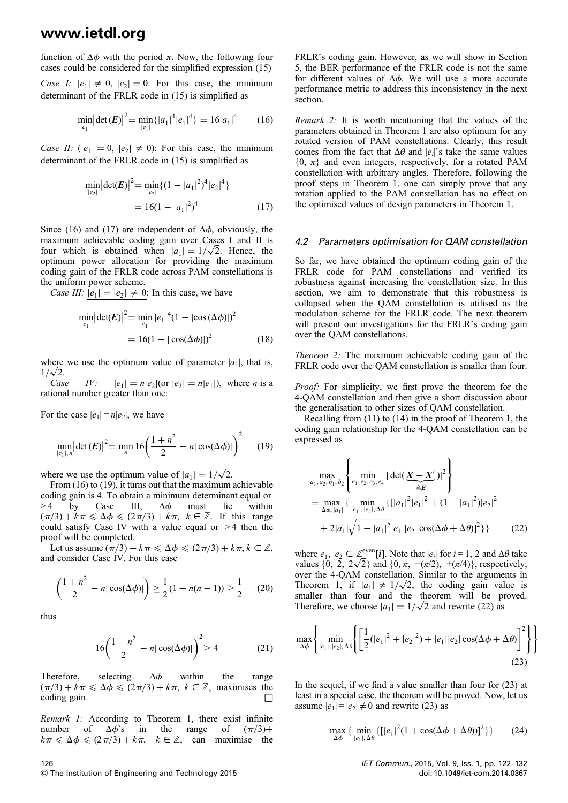function of  $\Delta \phi$  with the period  $\pi$ . Now, the following four cases could be considered for the simplified expression (15)

Case I:  $|e_1| \neq 0$ ,  $|e_2| = 0$ : For this case, the minimum determinant of the FRLR code in (15) is simplified as

$$
\min_{|e_1|} |\det(E)|^2 = \min_{|e_1|} \{|a_1|^4 |e_1|^4\} = 16|a_1|^4 \qquad (16)
$$

Case II:  $(|e_1| = 0, |e_2| \neq 0)$ : For this case, the minimum determinant of the FRLR code in (15) is simplified as

$$
\min_{|e_2|} |\det(E)|^2 = \min_{|e_2|} \{ (1 - |a_1|^2)^4 |e_2|^4 \}
$$
  
= 16(1 - |a\_1|^2)^4 (17)

Since (16) and (17) are independent of  $\Delta \phi$ , obviously, the maximum achievable coding gain over Cases I and II is four which is obtained when  $|a_1| = 1/\sqrt{2}$ . Hence, the optimum power allocation for providing the maximum coding gain of the FRLR code across PAM constellations is the uniform power scheme.

Case III:  $|e_1| = |e_2| \neq 0$ : In this case, we have

$$
\min_{|e_1|} |\det(E)|^2 = \min_{e_1} |e_1|^4 (1 - |\cos(\Delta \phi)|)^2
$$
  
= 16(1 - |\cos(\Delta \phi)|)^2 (18)

where we use the optimum value of parameter  $|a_1|$ , that is,  $\frac{1}{\sqrt{2}}$ .

Case IV:  $|e_1| = n|e_2|$  (or  $|e_2| = n|e_1|$ ), where *n* is a rational number greater than one:

For the case  $|e_1| = n|e_2|$ , we have

$$
\min_{|e_1|,n} \left| \det(E) \right|^2 = \min_{n} 16 \left( \frac{1+n^2}{2} - n|\cos(\Delta \phi)| \right)^2 \tag{19}
$$

where we use the optimum value of  $|a_1| = 1/\sqrt{2}$ .

From (16) to (19), it turns out that the maximum achievable coding gain is 4. To obtain a minimum determinant equal or  $> 4$  by Case III,  $\Delta \phi$  must lie within  $(\pi/3) + k\pi \leq \Delta\phi \leq (2\pi/3) + k\pi$ ,  $k \in \mathbb{Z}$ . If this range could satisfy Case IV with a value equal or  $>4$  then the proof will be completed.

Let us assume  $(\pi/3) + k\pi \leq \Delta\phi \leq (2\pi/3) + k\pi, k \in \mathbb{Z}$ , and consider Case IV. For this case

$$
\left(\frac{1+n^2}{2} - n|\cos(\Delta\phi)|\right) \ge \frac{1}{2}(1+n(n-1)) > \frac{1}{2}
$$
 (20)

thus

$$
16\left(\frac{1+n^2}{2} - n|\cos(\Delta\phi)|\right)^2 > 4
$$
 (21)

Therefore, selecting  $\Delta \phi$  within the range  $(\pi/3) + k\pi \le \Delta\phi \le (2\pi/3) + k\pi$ ,  $k \in \mathbb{Z}$ , maximises the coding gain. coding gain.

Remark 1: According to Theorem 1, there exist infinite number of  $\Delta \phi$ 's in the range of  $(\pi/3)$ + number of  $\Delta \phi$ 's in the range of  $(\pi/3)$ +  $k\pi \leq \Delta \phi \leq (2\pi/3) + k\pi$ ,  $k \in \mathbb{Z}$ , can maximise the

FRLR's coding gain. However, as we will show in Section 5, the BER performance of the FRLR code is not the same for different values of  $\Delta \phi$ . We will use a more accurate performance metric to address this inconsistency in the next section.

Remark 2: It is worth mentioning that the values of the parameters obtained in Theorem 1 are also optimum for any rotated version of PAM constellations. Clearly, this result comes from the fact that  $\Delta\theta$  and  $|e_i|$ 's take the same values  $\{0, \pi\}$  and even integers, respectively, for a rotated PAM constellation with arbitrary angles. Therefore, following the proof steps in Theorem 1, one can simply prove that any rotation applied to the PAM constellation has no effect on the optimised values of design parameters in Theorem 1.

#### 4.2 Parameters optimisation for QAM constellation

So far, we have obtained the optimum coding gain of the FRLR code for PAM constellations and verified its robustness against increasing the constellation size. In this section, we aim to demonstrate that this robustness is collapsed when the QAM constellation is utilised as the modulation scheme for the FRLR code. The next theorem will present our investigations for the FRLR's coding gain over the QAM constellations.

Theorem 2: The maximum achievable coding gain of the FRLR code over the QAM constellation is smaller than four.

*Proof:* For simplicity, we first prove the theorem for the 4-QAM constellation and then give a short discussion about the generalisation to other sizes of QAM constellation.

Recalling from (11) to (14) in the proof of Theorem 1, the coding gain relationship for the 4-QAM constellation can be expressed as

$$
\max_{a_1, a_2, b_1, b_2} \left\{ \min_{e_1, e_2, e_3, e_4} |\det(\underbrace{X - X'}_{\triangleq E})|^2 \right\}
$$
\n
$$
= \max_{\Delta \phi, |a_1|} \left\{ \min_{|e_1|, |e_2|, \Delta \theta} \left\{ [|a_1|^2|e_1|^2 + (1 - |a_1|^2)|e_2|^2 + 2|a_1|\sqrt{1 - |a_1|^2}|e_1||e_2|\cos(\Delta \phi + \Delta \theta)|^2 \right\} \right\}
$$
\n(22)

where  $e_1, e_2 \in \mathbb{Z}_r^{\text{even}}[i]$ . Note that  $|e_i|$  for  $i = 1, 2$  and  $\Delta\theta$  take values  $\{0, 2, 2\sqrt{2}\}$  and  $\{0, \pi, \pm(\pi/2), \pm(\pi/4)\}$ , respectively, over the 4-QAM constellation. Similar to the arguments in Theorem 1, if  $|a_1| \neq 1/\sqrt{2}$ , the coding gain value is smaller than four and the theorem will be proved. Therefore, we choose  $|a_1| = 1/\sqrt{2}$  and rewrite (22) as

$$
\max_{\Delta\phi} \left\{ \min_{|e_1|, |e_2|, \Delta\theta} \left\{ \left[ \frac{1}{2} (|e_1|^2 + |e_2|^2) + |e_1||e_2| \cos(\Delta\phi + \Delta\theta) \right]^2 \right\} \right\}
$$
(23)

In the sequel, if we find a value smaller than four for (23) at least in a special case, the theorem will be proved. Now, let us assume  $|e_1| = |e_2| \neq 0$  and rewrite (23) as

$$
\max_{\Delta\phi} \{ \min_{|e_1|,\Delta\theta} \{ [|e_1|^2(1+\cos(\Delta\phi+\Delta\theta))]^2 \} \} \tag{24}
$$

IET Commun., 2015, Vol. 9, Iss. 1, pp. 122–132 doi: 10.1049/iet-com.2014.0367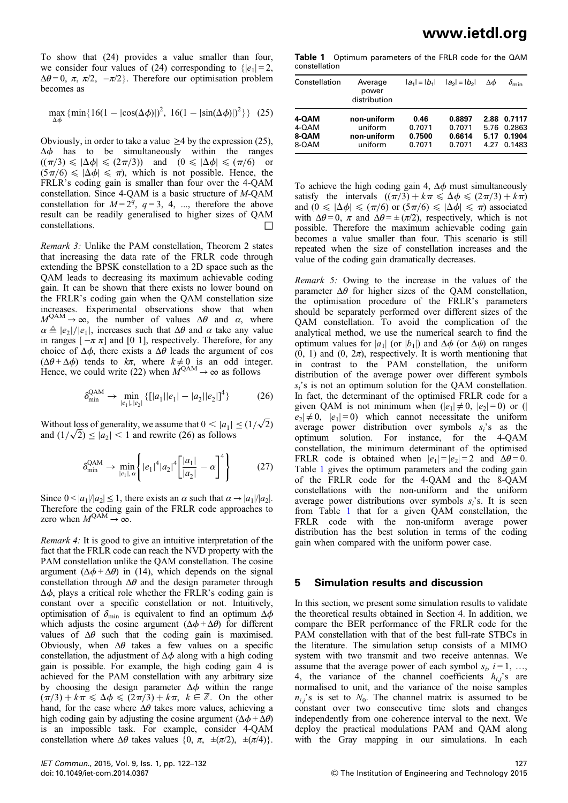To show that (24) provides a value smaller than four, we consider four values of (24) corresponding to  $\{|e_1| = 2$ ,  $\Delta\theta = 0$ ,  $\pi$ ,  $\pi/2$ ,  $-\pi/2$ }. Therefore our optimisation problem becomes as

$$
\max_{\Delta\phi} \left\{ \min\{ 16(1 - |\cos(\Delta\phi)|)^2, 16(1 - |\sin(\Delta\phi)|)^2 \} \right\} (25)
$$

Obviously, in order to take a value  $\geq$  4 by the expression (25),  $\Delta \phi$  has to be simultaneously within the ranges  $((\pi/3) \le |\Delta \phi| \le (2\pi/3))$  and  $(0 \le |\Delta \phi| \le (\pi/6)$  or  $(5\pi/6) \le |\Delta\phi| \le \pi$ , which is not possible. Hence, the FRLR's coding gain is smaller than four over the 4-QAM constellation. Since 4-QAM is a basic structure of M-QAM constellation for  $M = 2^q$ ,  $q = 3, 4, ...$ , therefore the above result can be readily generalised to higher sizes of QAM constellations.  $\Box$ 

Remark 3: Unlike the PAM constellation, Theorem 2 states that increasing the data rate of the FRLR code through extending the BPSK constellation to a 2D space such as the QAM leads to decreasing its maximum achievable coding gain. It can be shown that there exists no lower bound on the FRLR's coding gain when the QAM constellation size increases. Experimental observations show that when  $M^{QAM} \rightarrow \infty$ , the number of values  $\Delta\theta$  and  $\alpha$ , where  $\alpha \triangleq |e_2|/|e_1|$ , increases such that  $\Delta\theta$  and  $\alpha$  take any value in ranges  $[-\pi \pi]$  and [0 1], respectively. Therefore, for any choice of  $\Delta \phi$ , there exists a  $\Delta \theta$  leads the argument of cos  $(\Delta\theta + \Delta\phi)$  tends to  $k\pi$ , where  $k \neq 0$  is an odd integer. Hence, we could write (22) when  $M^{QAM} \to \infty$  as follows

$$
\delta_{\min}^{\text{QAM}} \to \min_{|e_1|, |e_2|} \{ [|a_1||e_1| - |a_2||e_2| ]^4 \}
$$
 (26)

Without loss of generality, we assume that  $0 < |a_1| \leq (1/\sqrt{2})$ which loss of generality, we assume that  $0 \le |a_1|$ <br>and  $(1/\sqrt{2}) \le |a_2| < 1$  and rewrite (26) as follows

$$
\delta_{\min}^{\text{QAM}} \to \min_{|e_1|, \alpha} \left\{ |e_1|^4 |a_2|^4 \left[ \frac{|a_1|}{|a_2|} - \alpha \right]^4 \right\} \tag{27}
$$

Since  $0 < |a_1|/|a_2| \le 1$ , there exists an  $\alpha$  such that  $\alpha \rightarrow |a_1|/|a_2|$ . Therefore the coding gain of the FRLR code approaches to zero when  $M^{QAM} \to \infty$ .

Remark 4: It is good to give an intuitive interpretation of the fact that the FRLR code can reach the NVD property with the PAM constellation unlike the QAM constellation. The cosine argument  $(\Delta \phi + \Delta \theta)$  in (14), which depends on the signal constellation through  $\Delta\theta$  and the design parameter through  $\Delta \phi$ , plays a critical role whether the FRLR's coding gain is constant over a specific constellation or not. Intuitively, optimisation of  $\delta_{\min}$  is equivalent to find an optimum  $\Delta \phi$ which adjusts the cosine argument  $(\Delta \phi + \Delta \theta)$  for different values of  $\Delta\theta$  such that the coding gain is maximised. Obviously, when  $\Delta\theta$  takes a few values on a specific constellation, the adjustment of  $\Delta \phi$  along with a high coding gain is possible. For example, the high coding gain 4 is achieved for the PAM constellation with any arbitrary size by choosing the design parameter  $\Delta \phi$  within the range  $(\pi/3) + k\pi \leq \Delta\phi \leq (2\pi/3) + k\pi$ ,  $k \in \mathbb{Z}$ . On the other hand, for the case where  $\Delta\theta$  takes more values, achieving a high coding gain by adjusting the cosine argument  $(\Delta \phi + \Delta \theta)$ is an impossible task. For example, consider 4-QAM constellation where  $\Delta\theta$  takes values  $\{0, \pi, \pm(\pi/2), \pm(\pi/4)\}.$ 

Table 1 Optimum parameters of the FRLR code for the QAM constellation

| Constellation | Average<br>power<br>distribution | $ a_1  =  b_1 $ | $ a_2  =  b_2 $ | Δф   | $\delta_{\sf min}$ |
|---------------|----------------------------------|-----------------|-----------------|------|--------------------|
| 4-QAM         | non-uniform                      | 0.46            | 0.8897          | 2.88 | 0.7117             |
| 4-QAM         | uniform                          | 0.7071          | 0.7071          | 5.76 | 0.2863             |
| 8-QAM         | non-uniform                      | 0.7500          | 0.6614          | 5.17 | 0.1904             |
| 8-QAM         | uniform                          | 0.7071          | 0.7071          | 4.27 | 0.1483             |

To achieve the high coding gain 4,  $\Delta \phi$  must simultaneously satisfy the intervals  $((\pi/3) + k\pi \le \Delta\phi \le (2\pi/3) + k\pi)$ and  $(0 \le |\Delta \phi| \le (\pi/6)$  or  $(5\pi/6) \le |\Delta \phi| \le \pi$ ) associated with  $\Delta\theta = 0$ ,  $\pi$  and  $\Delta\theta = \pm (\pi/2)$ , respectively, which is not possible. Therefore the maximum achievable coding gain becomes a value smaller than four. This scenario is still repeated when the size of constellation increases and the value of the coding gain dramatically decreases.

Remark 5: Owing to the increase in the values of the parameter  $\Delta\theta$  for higher sizes of the QAM constellation, the optimisation procedure of the FRLR's parameters should be separately performed over different sizes of the QAM constellation. To avoid the complication of the analytical method, we use the numerical search to find the optimum values for  $|a_1|$  (or  $|b_1|$ ) and  $\Delta \phi$  (or  $\Delta \psi$ ) on ranges  $(0, 1)$  and  $(0, 2\pi)$ , respectively. It is worth mentioning that in contrast to the PAM constellation, the uniform distribution of the average power over different symbols  $s_i$ 's is not an optimum solution for the QAM constellation. In fact, the determinant of the optimised FRLR code for a given QAM is not minimum when  $(|e_1| \neq 0, |e_2| = 0)$  or (  $|e_2| \neq 0$ ,  $|e_1| = 0$ ) which cannot necessitate the uniform average power distribution over symbols  $s_i$ 's as the optimum solution. For instance, for the 4-QAM constellation, the minimum determinant of the optimised FRLR code is obtained when  $|e_1| = |e_2| = 2$  and  $\Delta\theta = 0$ . Table 1 gives the optimum parameters and the coding gain of the FRLR code for the 4-QAM and the 8-QAM constellations with the non-uniform and the uniform average power distributions over symbols  $s_i$ 's. It is seen from Table 1 that for a given QAM constellation, the FRLR code with the non-uniform average power distribution has the best solution in terms of the coding gain when compared with the uniform power case.

#### 5 Simulation results and discussion

In this section, we present some simulation results to validate the theoretical results obtained in Section 4. In addition, we compare the BER performance of the FRLR code for the PAM constellation with that of the best full-rate STBCs in the literature. The simulation setup consists of a MIMO system with two transmit and two receive antennas. We assume that the average power of each symbol  $s_i$ ,  $i = 1, \ldots,$ 4, the variance of the channel coefficients  $h_{ij}$ 's are normalised to unit, and the variance of the noise samples  $n_{ij}$ 's is set to  $N_0$ . The channel matrix is assumed to be constant over two consecutive time slots and changes independently from one coherence interval to the next. We deploy the practical modulations PAM and QAM along with the Gray mapping in our simulations. In each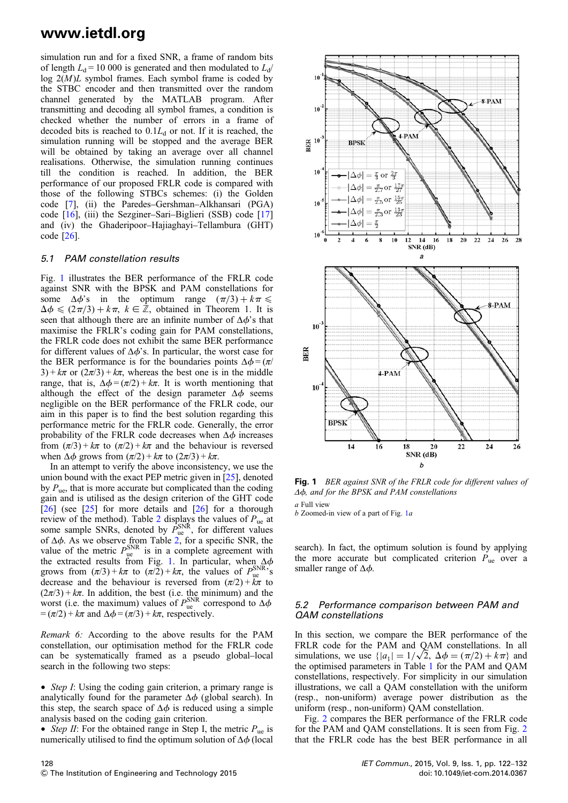simulation run and for a fixed SNR, a frame of random bits of length  $L_d$  = 10 000 is generated and then modulated to  $L_d$ / log  $2(M)L$  symbol frames. Each symbol frame is coded by the STBC encoder and then transmitted over the random channel generated by the MATLAB program. After transmitting and decoding all symbol frames, a condition is checked whether the number of errors in a frame of decoded bits is reached to  $0.1L_d$  or not. If it is reached, the simulation running will be stopped and the average BER will be obtained by taking an average over all channel realisations. Otherwise, the simulation running continues till the condition is reached. In addition, the BER performance of our proposed FRLR code is compared with those of the following STBCs schemes: (i) the Golden code [7], (ii) the Paredes–Gershman–Alkhansari (PGA) code [16], (iii) the Sezginer–Sari–Biglieri (SSB) code [17] and (iv) the Ghaderipoor–Hajiaghayi–Tellambura (GHT) code [26].

#### 5.1 PAM constellation results

Fig. 1 illustrates the BER performance of the FRLR code against SNR with the BPSK and PAM constellations for some  $\Delta \phi$ 's in the optimum range  $(\pi/3) + k\pi \leq$  $\Delta \phi \leq (2\pi/3) + k\pi$ ,  $k \in \mathbb{Z}$ , obtained in Theorem 1. It is seen that although there are an infinite number of  $\Delta \phi$ 's that maximise the FRLR's coding gain for PAM constellations, the FRLR code does not exhibit the same BER performance for different values of  $\Delta \phi$ 's. In particular, the worst case for the BER performance is for the boundaries points  $\Delta \phi = (\pi / \sqrt{\epsilon})$  $3 + k\pi$  or  $(2\pi/3) + k\pi$ , whereas the best one is in the middle range, that is,  $\Delta \phi = (\pi/2) + k\pi$ . It is worth mentioning that although the effect of the design parameter  $\Delta \phi$  seems negligible on the BER performance of the FRLR code, our aim in this paper is to find the best solution regarding this performance metric for the FRLR code. Generally, the error probability of the FRLR code decreases when  $\Delta \phi$  increases from  $(\pi/3)$  + k $\pi$  to  $(\pi/2)$  + k $\pi$  and the behaviour is reversed when  $\Delta \phi$  grows from  $(\pi/2) + k\pi$  to  $(2\pi/3) + k\pi$ .

In an attempt to verify the above inconsistency, we use the union bound with the exact PEP metric given in [25], denoted by  $P_{\text{ue}}$ , that is more accurate but complicated than the coding gain and is utilised as the design criterion of the GHT code  $[26]$  (see  $[25]$  for more details and  $[26]$  for a thorough review of the method). Table 2 displays the values of  $P_{ue}$  at some sample SNRs, denoted by  $\vec{P}_{ue}^{SNR}$ , for different values of  $\Delta \phi$ . As we observe from Table 2, for a specific SNR, the value of the metric  $P_{\text{ue}}^{\text{SNR}}$  is in a complete agreement with the extracted results from Fig. 1. In particular, when  $\Delta \phi$ grows from  $(\pi/3) + k\pi$  to  $(\pi/2) + k\pi$ , the values of  $P_{\text{ue}}^{\text{SNR}}$ 's decrease and the behaviour is reversed from  $(\pi/2) + k\pi$  to  $(2\pi/3) + k\pi$ . In addition, the best (i.e. the minimum) and the worst (i.e. the maximum) values of  $P_{\text{ue}}^{\text{SNR}}$  correspond to  $\Delta \phi$  $= (\pi/2) + k\pi$  and  $\Delta\phi = (\pi/3) + k\pi$ , respectively.

Remark 6: According to the above results for the PAM constellation, our optimisation method for the FRLR code can be systematically framed as a pseudo global–local search in the following two steps:

• Step I: Using the coding gain criterion, a primary range is analytically found for the parameter  $\Delta \phi$  (global search). In this step, the search space of  $\Delta \phi$  is reduced using a simple analysis based on the coding gain criterion.

• Step II: For the obtained range in Step I, the metric  $P_{\text{ue}}$  is numerically utilised to find the optimum solution of  $\Delta \phi$  (local



Fig. 1 BER against SNR of the FRLR code for different values of  $\Delta\phi$ , and for the BPSK and PAM constellations  $\sigma$  Full view

 $b$  Zoomed-in view of a part of Fig. 1a

search). In fact, the optimum solution is found by applying the more accurate but complicated criterion  $P_{\text{ue}}$  over a smaller range of  $\Delta \phi$ .

#### 5.2 Performance comparison between PAM and QAM constellations

In this section, we compare the BER performance of the FRLR code for the PAM and QAM constellations. In all simulations, we use  $\{|a_1| = 1/\sqrt{2}, \Delta \phi = (\pi/2) + k\pi \}$  and the optimised parameters in Table 1 for the PAM and QAM constellations, respectively. For simplicity in our simulation illustrations, we call a QAM constellation with the uniform (resp., non-uniform) average power distribution as the uniform (resp., non-uniform) QAM constellation.

Fig. 2 compares the BER performance of the FRLR code for the PAM and QAM constellations. It is seen from Fig. 2 that the FRLR code has the best BER performance in all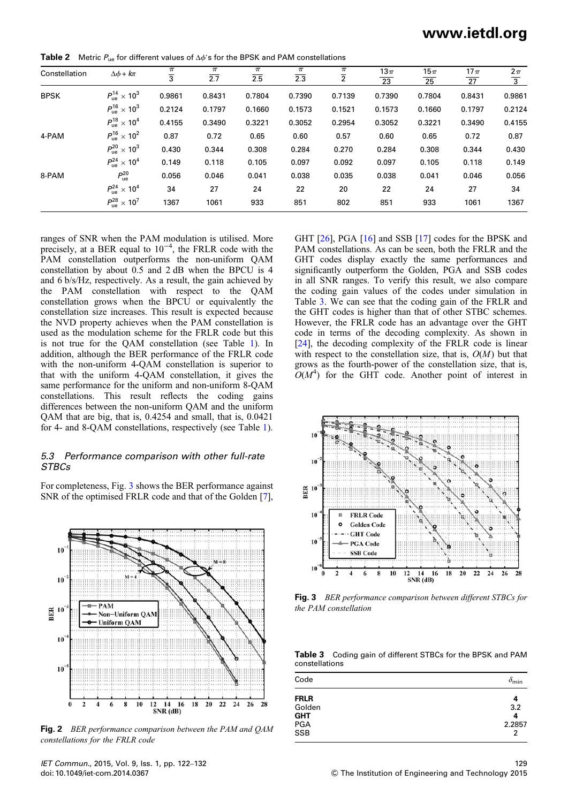www.ietdl.org

**Table 2** Metric  $P_{ue}$  for different values of  $\Delta \phi$ 's for the BPSK and PAM constellations

| Constellation | $\Delta \phi + k\pi$             | $\pi$          | $\pi$  | $\pi$  | $\pi$  | $\pi$          | 13 $\pi$ | 15 $\pi$ | $17\pi$ | $2\pi$         |
|---------------|----------------------------------|----------------|--------|--------|--------|----------------|----------|----------|---------|----------------|
|               |                                  | $\overline{3}$ | 2.7    | 2.5    | 2.3    | $\overline{2}$ | 23       | 25       | 27      | $\overline{3}$ |
| <b>BPSK</b>   | $P_{\text{ue}}^{14} \times 10^3$ | 0.9861         | 0.8431 | 0.7804 | 0.7390 | 0.7139         | 0.7390   | 0.7804   | 0.8431  | 0.9861         |
|               | $P_{\rm ue}^{16} \times 10^3$    | 0.2124         | 0.1797 | 0.1660 | 0.1573 | 0.1521         | 0.1573   | 0.1660   | 0.1797  | 0.2124         |
|               | $P_{\rm ue}^{18} \times 10^4$    | 0.4155         | 0.3490 | 0.3221 | 0.3052 | 0.2954         | 0.3052   | 0.3221   | 0.3490  | 0.4155         |
| 4-PAM         | $P_{\rm ue}^{16} \times 10^{2}$  | 0.87           | 0.72   | 0.65   | 0.60   | 0.57           | 0.60     | 0.65     | 0.72    | 0.87           |
|               | $P_{\rm ue}^{20} \times 10^3$    | 0.430          | 0.344  | 0.308  | 0.284  | 0.270          | 0.284    | 0.308    | 0.344   | 0.430          |
|               | $P_{\rm ue}^{24} \times 10^4$    | 0.149          | 0.118  | 0.105  | 0.097  | 0.092          | 0.097    | 0.105    | 0.118   | 0.149          |
| 8-PAM         | $P_{\text{ue}}^{20}$             | 0.056          | 0.046  | 0.041  | 0.038  | 0.035          | 0.038    | 0.041    | 0.046   | 0.056          |
|               | $P_{\rm ue}^{24} \times 10^4$    | 34             | 27     | 24     | 22     | 20             | 22       | 24       | 27      | 34             |
|               | $P_{\rm ue}^{28} \times 10^7$    | 1367           | 1061   | 933    | 851    | 802            | 851      | 933      | 1061    | 1367           |

ranges of SNR when the PAM modulation is utilised. More precisely, at a BER equal to 10<sup>-4</sup>, the FRLR code with the PAM constellation outperforms the non-uniform QAM constellation by about 0.5 and 2 dB when the BPCU is 4 and 6 b/s/Hz, respectively. As a result, the gain achieved by the PAM constellation with respect to the QAM constellation grows when the BPCU or equivalently the constellation size increases. This result is expected because the NVD property achieves when the PAM constellation is used as the modulation scheme for the FRLR code but this is not true for the QAM constellation (see Table 1). In addition, although the BER performance of the FRLR code with the non-uniform 4-QAM constellation is superior to that with the uniform 4-QAM constellation, it gives the same performance for the uniform and non-uniform 8-QAM constellations. This result reflects the coding gains differences between the non-uniform QAM and the uniform QAM that are big, that is, 0.4254 and small, that is, 0.0421 for 4- and 8-QAM constellations, respectively (see Table 1).

#### 5.3 Performance comparison with other full-rate **STBCs**

For completeness, Fig. 3 shows the BER performance against SNR of the optimised FRLR code and that of the Golden [7],



Fig. 2 BER performance comparison between the PAM and QAM constellations for the FRLR code

IET Commun., 2015, Vol. 9, Iss. 1, pp. 122–132 doi: 10.1049/iet-com.2014.0367

GHT [26], PGA [16] and SSB [17] codes for the BPSK and PAM constellations. As can be seen, both the FRLR and the GHT codes display exactly the same performances and significantly outperform the Golden, PGA and SSB codes in all SNR ranges. To verify this result, we also compare the coding gain values of the codes under simulation in Table 3. We can see that the coding gain of the FRLR and the GHT codes is higher than that of other STBC schemes. However, the FRLR code has an advantage over the GHT code in terms of the decoding complexity. As shown in [24], the decoding complexity of the FRLR code is linear with respect to the constellation size, that is,  $O(M)$  but that grows as the fourth-power of the constellation size, that is,  $O(M<sup>4</sup>)$  for the GHT code. Another point of interest in



Fig. 3 BER performance comparison between different STBCs for the PAM constellation

Table 3 Coding gain of different STBCs for the BPSK and PAM constellations

| Code                  | $\delta_{\min}$ |
|-----------------------|-----------------|
| <b>FRLR</b><br>Golden | 4<br>3.2        |
| <b>GHT</b>            | 4               |
| PGA<br>SSB            | 2.2857<br>2     |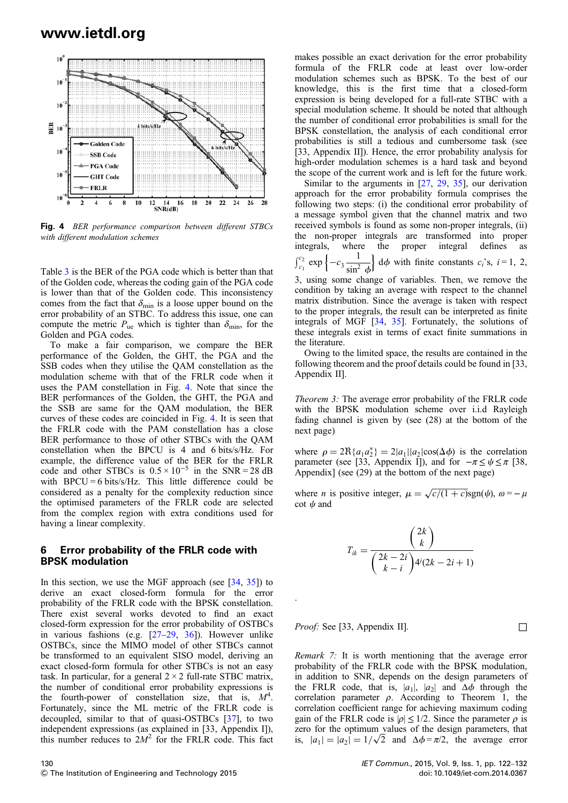

Fig. 4 BER performance comparison between different STBCs with different modulation schemes

Table 3 is the BER of the PGA code which is better than that of the Golden code, whereas the coding gain of the PGA code is lower than that of the Golden code. This inconsistency comes from the fact that  $\delta_{\min}$  is a loose upper bound on the error probability of an STBC. To address this issue, one can compute the metric  $P_{\text{ue}}$  which is tighter than  $\delta_{\text{min}}$ , for the Golden and PGA codes.

To make a fair comparison, we compare the BER performance of the Golden, the GHT, the PGA and the SSB codes when they utilise the QAM constellation as the modulation scheme with that of the FRLR code when it uses the PAM constellation in Fig. 4. Note that since the BER performances of the Golden, the GHT, the PGA and the SSB are same for the QAM modulation, the BER curves of these codes are coincided in Fig. 4. It is seen that the FRLR code with the PAM constellation has a close BER performance to those of other STBCs with the QAM constellation when the BPCU is 4 and 6 bits/s/Hz. For example, the difference value of the BER for the FRLR code and other STBCs is  $0.5 \times 10^{-5}$  in the SNR = 28 dB with  $BPCU = 6$  bits/s/Hz. This little difference could be considered as a penalty for the complexity reduction since the optimised parameters of the FRLR code are selected from the complex region with extra conditions used for having a linear complexity.

#### 6 Error probability of the FRLR code with BPSK modulation

In this section, we use the MGF approach (see  $[34, 35]$ ) to derive an exact closed-form formula for the error probability of the FRLR code with the BPSK constellation. There exist several works devoted to find an exact closed-form expression for the error probability of OSTBCs in various fashions (e.g. [27–29, 36]). However unlike OSTBCs, since the MIMO model of other STBCs cannot be transformed to an equivalent SISO model, deriving an exact closed-form formula for other STBCs is not an easy task. In particular, for a general  $2 \times 2$  full-rate STBC matrix, the number of conditional error probability expressions is the fourth-power of constellation size, that is,  $M^4$ . Fortunately, since the ML metric of the FRLR code is decoupled, similar to that of quasi-OSTBCs [37], to two independent expressions (as explained in [33, Appendix I]), this number reduces to  $2M^2$  for the FRLR code. This fact

130  $©$  The Institution of Engineering and Technology 2015

makes possible an exact derivation for the error probability formula of the FRLR code at least over low-order modulation schemes such as BPSK. To the best of our knowledge, this is the first time that a closed-form expression is being developed for a full-rate STBC with a special modulation scheme. It should be noted that although the number of conditional error probabilities is small for the BPSK constellation, the analysis of each conditional error probabilities is still a tedious and cumbersome task (see [33, Appendix II]). Hence, the error probability analysis for high-order modulation schemes is a hard task and beyond the scope of the current work and is left for the future work.

Similar to the arguments in [27, 29, 35], our derivation approach for the error probability formula comprises the following two steps: (i) the conditional error probability of a message symbol given that the channel matrix and two received symbols is found as some non-proper integrals, (ii) the non-proper integrals are transformed into proper integrals, where the proper integral defines as  $\int_{c_1}^{c_2} \exp \left\{ -c_3 \frac{1}{\sin^2 \theta} \right\}$  $\sin^2 \phi$  $\left\{\right. d\phi$  with finite constants  $c_i$ 's,  $i = 1, 2,$ 

3, using some change of variables. Then, we remove the condition by taking an average with respect to the channel matrix distribution. Since the average is taken with respect to the proper integrals, the result can be interpreted as finite integrals of MGF [34, 35]. Fortunately, the solutions of these integrals exist in terms of exact finite summations in the literature.

Owing to the limited space, the results are contained in the following theorem and the proof details could be found in [33, Appendix II].

Theorem 3: The average error probability of the FRLR code with the BPSK modulation scheme over i.i.d Rayleigh fading channel is given by (see (28) at the bottom of the next page)

where  $\rho = 2R\{a_1 a_2^*\} = 2|a_1||a_2|\cos(\Delta\phi)$  is the correlation parameter (see [33, Appendix I]), and for  $-\pi \leq \psi \leq \pi$  [38, Appendix] (see (29) at the bottom of the next page)

where *n* is positive integer,  $\mu = \sqrt{c/(1+c)}\text{sgn}(\psi)$ ,  $\omega = -\mu$ cot  $\psi$  and

$$
T_{ik} = \frac{\binom{2k}{k}}{\binom{2k-2i}{k-i}4^i(2k-2i+1)}
$$

*Proof:* See [33, Appendix II].  $\Box$ 

.

Remark 7: It is worth mentioning that the average error probability of the FRLR code with the BPSK modulation, in addition to SNR, depends on the design parameters of the FRLR code, that is,  $|a_1|$ ,  $|a_2|$  and  $\Delta \phi$  through the correlation parameter  $\rho$ . According to Theorem 1, the correlation coefficient range for achieving maximum coding gain of the FRLR code is  $|\rho| \leq 1/2$ . Since the parameter  $\rho$  is zero for the optimum values of the design parameters, that is,  $|a_1| = |a_2| = 1/\sqrt{2}$  and  $\Delta \phi = \pi/2$ , the average error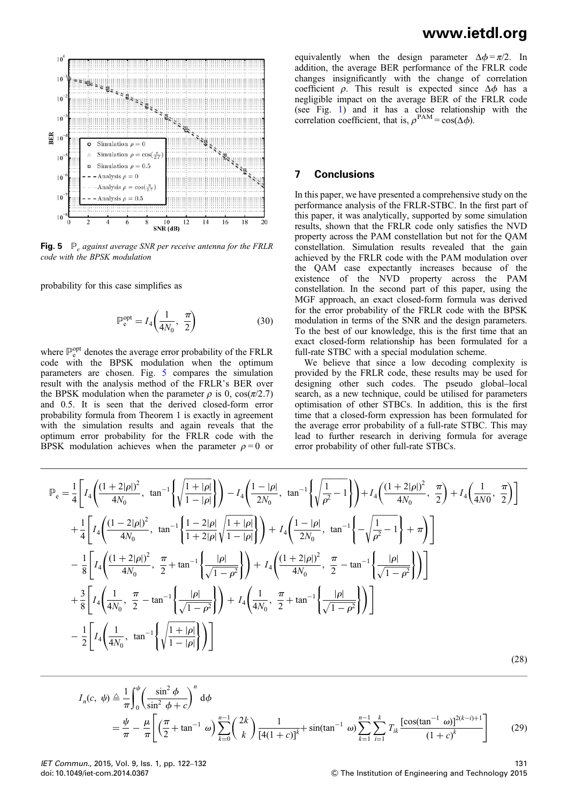

**Fig. 5**  $\mathbb{P}_e$  against average SNR per receive antenna for the FRLR code with the BPSK modulation

probability for this case simplifies as

$$
\mathbb{P}_e^{\text{opt}} = I_4 \left( \frac{1}{4N_0}, \frac{\pi}{2} \right) \tag{30}
$$

where  $\mathbb{P}_{e}^{\text{opt}}$  denotes the average error probability of the FRLR code with the BPSK modulation when the optimum parameters are chosen. Fig. 5 compares the simulation result with the analysis method of the FRLR's BER over the BPSK modulation when the parameter  $\rho$  is 0,  $\cos(\pi/2.7)$ and 0.5. It is seen that the derived closed-form error probability formula from Theorem 1 is exactly in agreement with the simulation results and again reveals that the optimum error probability for the FRLR code with the BPSK modulation achieves when the parameter  $\rho = 0$  or

equivalently when the design parameter  $\Delta \phi = \pi/2$ . In addition, the average BER performance of the FRLR code changes insignificantly with the change of correlation coefficient  $\rho$ . This result is expected since  $\Delta \phi$  has a negligible impact on the average BER of the FRLR code (see Fig. 1) and it has a close relationship with the correlation coefficient, that is,  $\rho^{PAM} = \cos(\Delta \phi)$ .

#### 7 Conclusions

In this paper, we have presented a comprehensive study on the performance analysis of the FRLR-STBC. In the first part of this paper, it was analytically, supported by some simulation results, shown that the FRLR code only satisfies the NVD property across the PAM constellation but not for the QAM constellation. Simulation results revealed that the gain achieved by the FRLR code with the PAM modulation over the QAM case expectantly increases because of the existence of the NVD property across the PAM constellation. In the second part of this paper, using the MGF approach, an exact closed-form formula was derived for the error probability of the FRLR code with the BPSK modulation in terms of the SNR and the design parameters. To the best of our knowledge, this is the first time that an exact closed-form relationship has been formulated for a full-rate STBC with a special modulation scheme.

We believe that since a low decoding complexity is provided by the FRLR code, these results may be used for designing other such codes. The pseudo global–local search, as a new technique, could be utilised for parameters optimisation of other STBCs. In addition, this is the first time that a closed-form expression has been formulated for the average error probability of a full-rate STBC. This may lead to further research in deriving formula for average error probability of other full-rate STBCs.

$$
\mathbb{P}_{e} = \frac{1}{4} \left[ I_{4} \left( \frac{(1+2|\rho|)^{2}}{4N_{0}}, \tan^{-1} \left\{ \sqrt{\frac{1+|\rho|}{1-|\rho|}} \right\} \right) - I_{4} \left( \frac{1-|\rho|}{2N_{0}}, \tan^{-1} \left\{ \sqrt{\frac{1}{\rho^{2}}-1} \right\} \right) + I_{4} \left( \frac{(1+2|\rho|)^{2}}{4N_{0}}, \frac{\pi}{2} \right) + I_{4} \left( \frac{1}{4N_{0}}, \frac{\pi}{2} \right) \right]
$$
  
+ 
$$
\frac{1}{4} \left[ I_{4} \left( \frac{(1-2|\rho|)^{2}}{4N_{0}}, \tan^{-1} \left\{ \frac{1-2|\rho|}{1+2|\rho|} \sqrt{\frac{1+|\rho|}{1-|\rho|}} \right\} \right) + I_{4} \left( \frac{1-|\rho|}{2N_{0}}, \tan^{-1} \left\{ -\sqrt{\frac{1}{\rho^{2}}-1} \right\} + \pi \right) \right]
$$
  
- 
$$
\frac{1}{8} \left[ I_{4} \left( \frac{(1+2|\rho|)^{2}}{4N_{0}}, \frac{\pi}{2} + \tan^{-1} \left\{ \frac{|\rho|}{\sqrt{1-\rho^{2}}} \right\} \right) + I_{4} \left( \frac{(1+2|\rho|)^{2}}{4N_{0}}, \frac{\pi}{2} - \tan^{-1} \left\{ \frac{|\rho|}{\sqrt{1-\rho^{2}}} \right\} \right) \right]
$$
  
+ 
$$
\frac{3}{8} \left[ I_{4} \left( \frac{1}{4N_{0}}, \frac{\pi}{2} - \tan^{-1} \left\{ \frac{|\rho|}{\sqrt{1-\rho^{2}}} \right\} \right) + I_{4} \left( \frac{1}{4N_{0}}, \frac{\pi}{2} + \tan^{-1} \left\{ \frac{|\rho|}{\sqrt{1-\rho^{2}}} \right\} \right) \right]
$$
  
- 
$$
\frac{1}{2} \left[ I_{4} \left( \frac{1}{4N_{0}}, \tan^{-1} \left\{ \sqrt{\frac{1+|\rho|}{1-|\rho|}} \right\} \right) \right]
$$
(28)

$$
I_n(c, \psi) \triangleq \frac{1}{\pi} \int_0^{\psi} \left( \frac{\sin^2 \phi}{\sin^2 \phi + c} \right)^n d\phi
$$
  
=  $\frac{\psi}{\pi} - \frac{\mu}{\pi} \left[ \left( \frac{\pi}{2} + \tan^{-1} \omega \right) \sum_{k=0}^{n-1} {2k \choose k} \frac{1}{[4(1+c)]^k} + \sin(\tan^{-1} \omega) \sum_{k=1}^{n-1} \sum_{i=1}^k T_{ik} \frac{[\cos(\tan^{-1} \omega)]^{2(k-i)+1}}{(1+c)^k} \right]$  (29)

IET Commun., 2015, Vol. 9, Iss. 1, pp. 122–132 doi: 10.1049/iet-com.2014.0367